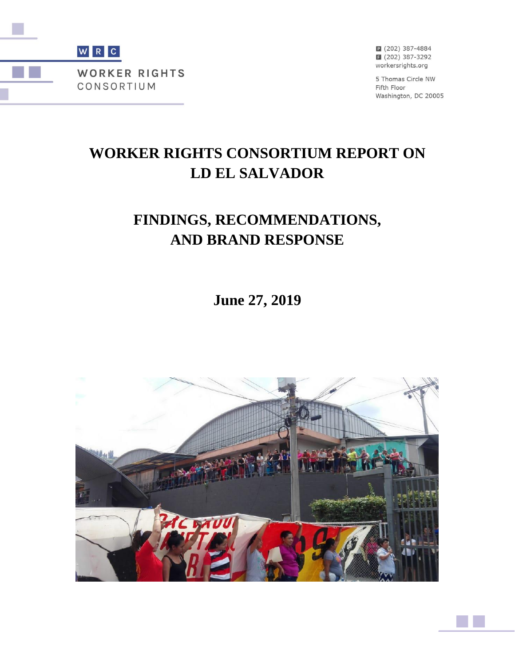

2 (202) 387-4884 ■ (202) 387-3292 workersrights.org

5 Thomas Circle NW Fifth Floor Washington, DC 20005

# **WORKER RIGHTS CONSORTIUM REPORT ON LD EL SALVADOR**

# **FINDINGS, RECOMMENDATIONS, AND BRAND RESPONSE**

**June 27, 2019**

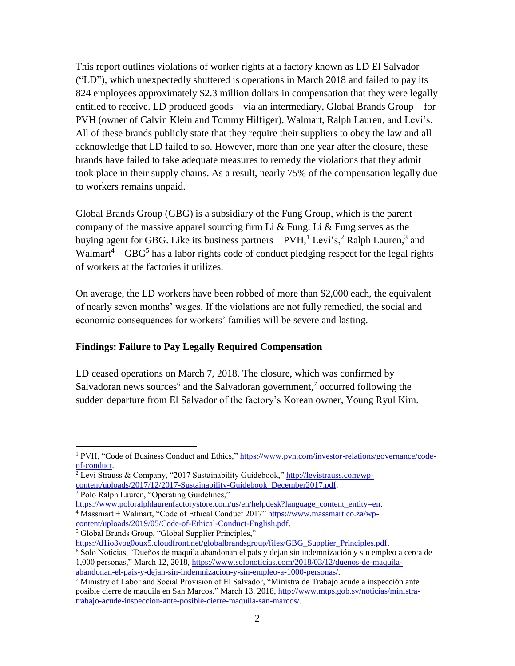This report outlines violations of worker rights at a factory known as LD El Salvador ("LD"), which unexpectedly shuttered is operations in March 2018 and failed to pay its 824 employees approximately \$2.3 million dollars in compensation that they were legally entitled to receive. LD produced goods – via an intermediary, Global Brands Group – for PVH (owner of Calvin Klein and Tommy Hilfiger), Walmart, Ralph Lauren, and Levi's. All of these brands publicly state that they require their suppliers to obey the law and all acknowledge that LD failed to so. However, more than one year after the closure, these brands have failed to take adequate measures to remedy the violations that they admit took place in their supply chains. As a result, nearly 75% of the compensation legally due to workers remains unpaid.

Global Brands Group (GBG) is a subsidiary of the Fung Group, which is the parent company of the massive apparel sourcing firm Li  $\&$  Fung. Li  $\&$  Fung serves as the buying agent for GBG. Like its business partners  $-$  PVH,<sup>1</sup> Levi's,<sup>2</sup> Ralph Lauren,<sup>3</sup> and Walmart<sup>4</sup> – GBG<sup>5</sup> has a labor rights code of conduct pledging respect for the legal rights of workers at the factories it utilizes.

On average, the LD workers have been robbed of more than \$2,000 each, the equivalent of nearly seven months' wages. If the violations are not fully remedied, the social and economic consequences for workers' families will be severe and lasting.

## **Findings: Failure to Pay Legally Required Compensation**

LD ceased operations on March 7, 2018. The closure, which was confirmed by Salvadoran news sources<sup>6</sup> and the Salvadoran government,<sup>7</sup> occurred following the sudden departure from El Salvador of the factory's Korean owner, Young Ryul Kim.

<sup>3</sup> Polo Ralph Lauren, "Operating Guidelines,"

 $\overline{a}$ 

[https://www.poloralphlaurenfactorystore.com/us/en/helpdesk?language\\_content\\_entity=en.](https://www.poloralphlaurenfactorystore.com/us/en/helpdesk?language_content_entity=en)  $4$  Massmart + Walmart, "Code of Ethical Conduct 2017" [https://www.massmart.co.za/wp](https://www.massmart.co.za/wp-content/uploads/2019/05/Code-of-Ethical-Conduct-English.pdf)[content/uploads/2019/05/Code-of-Ethical-Conduct-English.pdf.](https://www.massmart.co.za/wp-content/uploads/2019/05/Code-of-Ethical-Conduct-English.pdf)

<sup>5</sup> Global Brands Group, "Global Supplier Principles,"

[https://d1io3yog0oux5.cloudfront.net/globalbrandsgroup/files/GBG\\_Supplier\\_Principles.pdf.](https://d1io3yog0oux5.cloudfront.net/globalbrandsgroup/files/GBG_Supplier_Principles.pdf)

<sup>1</sup> PVH, "Code of Business Conduct and Ethics," [https://www.pvh.com/investor-relations/governance/code](https://www.pvh.com/investor-relations/governance/code-of-conduct)[of-conduct.](https://www.pvh.com/investor-relations/governance/code-of-conduct)

<sup>&</sup>lt;sup>2</sup> Levi Strauss & Company, "2017 Sustainability Guidebook," [http://levistrauss.com/wp](http://levistrauss.com/wp-content/uploads/2017/12/2017-Sustainability-Guidebook_December2017.pdf)[content/uploads/2017/12/2017-Sustainability-Guidebook\\_December2017.pdf.](http://levistrauss.com/wp-content/uploads/2017/12/2017-Sustainability-Guidebook_December2017.pdf)

<sup>6</sup> Solo Noticias, "Dueños de maquila abandonan el país y dejan sin indemnización y sin empleo a cerca de 1,000 personas," March 12, 2018, [https://www.solonoticias.com/2018/03/12/duenos-de-maquila](https://www.solonoticias.com/2018/03/12/duenos-de-maquila-abandonan-el-pais-y-dejan-sin-indemnizacion-y-sin-empleo-a-1000-personas/)[abandonan-el-pais-y-dejan-sin-indemnizacion-y-sin-empleo-a-1000-personas/.](https://www.solonoticias.com/2018/03/12/duenos-de-maquila-abandonan-el-pais-y-dejan-sin-indemnizacion-y-sin-empleo-a-1000-personas/)

<sup>7</sup> Ministry of Labor and Social Provision of El Salvador, "Ministra de Trabajo acude a inspección ante posible cierre de maquila en San Marcos," March 13, 2018, [http://www.mtps.gob.sv/noticias/ministra](http://www.mtps.gob.sv/noticias/ministra-trabajo-acude-inspeccion-ante-posible-cierre-maquila-san-marcos/)[trabajo-acude-inspeccion-ante-posible-cierre-maquila-san-marcos/.](http://www.mtps.gob.sv/noticias/ministra-trabajo-acude-inspeccion-ante-posible-cierre-maquila-san-marcos/)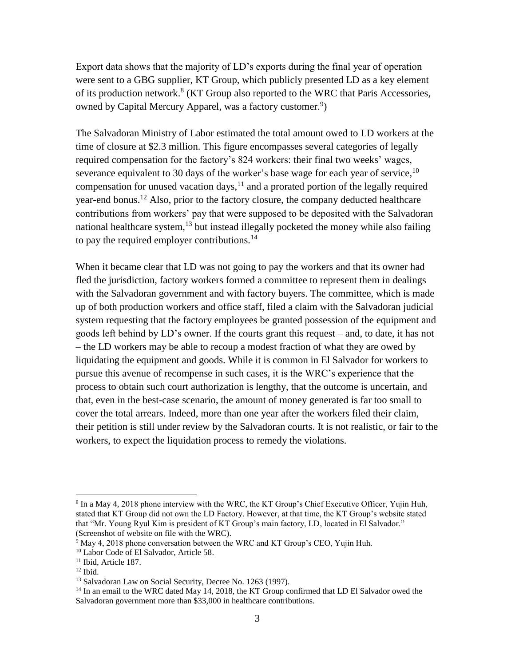Export data shows that the majority of LD's exports during the final year of operation were sent to a GBG supplier, KT Group, which publicly presented LD as a key element of its production network.<sup>8</sup> (KT Group also reported to the WRC that Paris Accessories, owned by Capital Mercury Apparel, was a factory customer.<sup>9</sup>)

The Salvadoran Ministry of Labor estimated the total amount owed to LD workers at the time of closure at \$2.3 million. This figure encompasses several categories of legally required compensation for the factory's 824 workers: their final two weeks' wages, severance equivalent to 30 days of the worker's base wage for each year of service,  $10$ compensation for unused vacation days, $<sup>11</sup>$  and a prorated portion of the legally required</sup> year-end bonus.<sup>12</sup> Also, prior to the factory closure, the company deducted healthcare contributions from workers' pay that were supposed to be deposited with the Salvadoran national healthcare system, $13$  but instead illegally pocketed the money while also failing to pay the required employer contributions.<sup>14</sup>

When it became clear that LD was not going to pay the workers and that its owner had fled the jurisdiction, factory workers formed a committee to represent them in dealings with the Salvadoran government and with factory buyers. The committee, which is made up of both production workers and office staff, filed a claim with the Salvadoran judicial system requesting that the factory employees be granted possession of the equipment and goods left behind by LD's owner. If the courts grant this request – and, to date, it has not – the LD workers may be able to recoup a modest fraction of what they are owed by liquidating the equipment and goods. While it is common in El Salvador for workers to pursue this avenue of recompense in such cases, it is the WRC's experience that the process to obtain such court authorization is lengthy, that the outcome is uncertain, and that, even in the best-case scenario, the amount of money generated is far too small to cover the total arrears. Indeed, more than one year after the workers filed their claim, their petition is still under review by the Salvadoran courts. It is not realistic, or fair to the workers, to expect the liquidation process to remedy the violations.

l

<sup>&</sup>lt;sup>8</sup> In a May 4, 2018 phone interview with the WRC, the KT Group's Chief Executive Officer, Yujin Huh, stated that KT Group did not own the LD Factory. However, at that time, the KT Group's website stated that "Mr. Young Ryul Kim is president of KT Group's main factory, LD, located in El Salvador." (Screenshot of website on file with the WRC).

 $9 \text{ May } 4$ , 2018 phone conversation between the WRC and KT Group's CEO, Yujin Huh.

<sup>10</sup> Labor Code of El Salvador, Article 58.

 $11$  Ibid, Article 187.  $12$  Ibid.

<sup>&</sup>lt;sup>13</sup> Salvadoran Law on Social Security, Decree No. 1263 (1997).

<sup>&</sup>lt;sup>14</sup> In an email to the WRC dated May 14, 2018, the KT Group confirmed that LD El Salvador owed the Salvadoran government more than \$33,000 in healthcare contributions.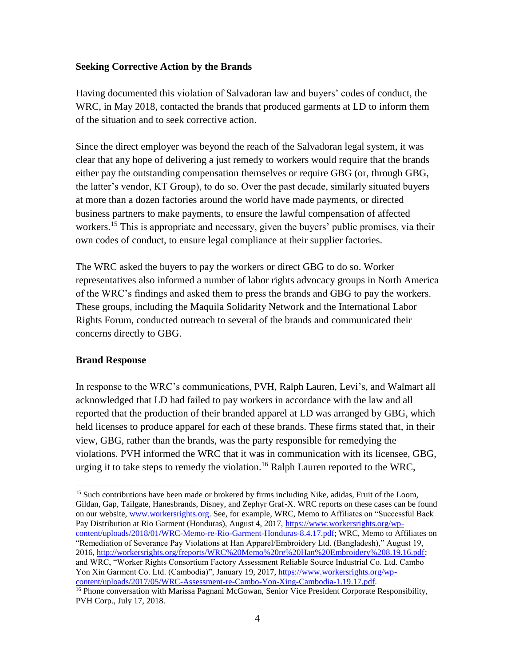#### **Seeking Corrective Action by the Brands**

Having documented this violation of Salvadoran law and buyers' codes of conduct, the WRC, in May 2018, contacted the brands that produced garments at LD to inform them of the situation and to seek corrective action.

Since the direct employer was beyond the reach of the Salvadoran legal system, it was clear that any hope of delivering a just remedy to workers would require that the brands either pay the outstanding compensation themselves or require GBG (or, through GBG, the latter's vendor, KT Group), to do so. Over the past decade, similarly situated buyers at more than a dozen factories around the world have made payments, or directed business partners to make payments, to ensure the lawful compensation of affected workers.<sup>15</sup> This is appropriate and necessary, given the buyers' public promises, via their own codes of conduct, to ensure legal compliance at their supplier factories.

The WRC asked the buyers to pay the workers or direct GBG to do so. Worker representatives also informed a number of labor rights advocacy groups in North America of the WRC's findings and asked them to press the brands and GBG to pay the workers. These groups, including the Maquila Solidarity Network and the International Labor Rights Forum, conducted outreach to several of the brands and communicated their concerns directly to GBG.

#### **Brand Response**

In response to the WRC's communications, PVH, Ralph Lauren, Levi's, and Walmart all acknowledged that LD had failed to pay workers in accordance with the law and all reported that the production of their branded apparel at LD was arranged by GBG, which held licenses to produce apparel for each of these brands. These firms stated that, in their view, GBG, rather than the brands, was the party responsible for remedying the violations. PVH informed the WRC that it was in communication with its licensee, GBG, urging it to take steps to remedy the violation.<sup>16</sup> Ralph Lauren reported to the WRC,

 $\overline{a}$ <sup>15</sup> Such contributions have been made or brokered by firms including Nike, adidas, Fruit of the Loom, Gildan, Gap, Tailgate, Hanesbrands, Disney, and Zephyr Graf-X. WRC reports on these cases can be found on our website, [www.workersrights.org.](http://www.workersrights.org/) See, for example, WRC, Memo to Affiliates on "Successful Back Pay Distribution at Rio Garment (Honduras), August 4, 2017, [https://www.workersrights.org/wp](https://www.workersrights.org/wp-content/uploads/2018/01/WRC-Memo-re-Rio-Garment-Honduras-8.4.17.pdf)[content/uploads/2018/01/WRC-Memo-re-Rio-Garment-Honduras-8.4.17.pdf;](https://www.workersrights.org/wp-content/uploads/2018/01/WRC-Memo-re-Rio-Garment-Honduras-8.4.17.pdf) WRC, Memo to Affiliates on "Remediation of Severance Pay Violations at Han Apparel/Embroidery Ltd. (Bangladesh)," August 19, 2016, [http://workersrights.org/freports/WRC%20Memo%20re%20Han%20Embroidery%208.19.16.pdf;](http://workersrights.org/freports/WRC%20Memo%20re%20Han%20Embroidery%208.19.16.pdf) and WRC, "Worker Rights Consortium Factory Assessment Reliable Source Industrial Co. Ltd. Cambo Yon Xin Garment Co. Ltd. (Cambodia)", January 19, 2017, [https://www.workersrights.org/wp](https://www.workersrights.org/wp-content/uploads/2017/05/WRC-Assessment-re-Cambo-Yon-Xing-Cambodia-1.19.17.pdf)[content/uploads/2017/05/WRC-Assessment-re-Cambo-Yon-Xing-Cambodia-1.19.17.pdf.](https://www.workersrights.org/wp-content/uploads/2017/05/WRC-Assessment-re-Cambo-Yon-Xing-Cambodia-1.19.17.pdf) <sup>16</sup> Phone conversation with Marissa Pagnani McGowan, Senior Vice President Corporate Responsibility, PVH Corp., July 17, 2018.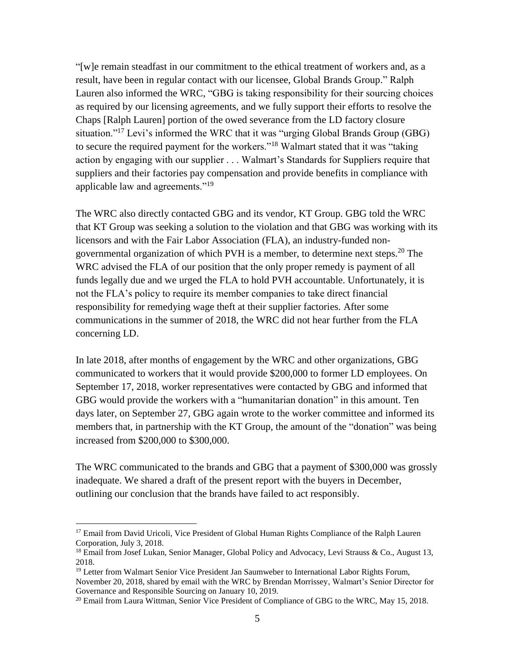"[w]e remain steadfast in our commitment to the ethical treatment of workers and, as a result, have been in regular contact with our licensee, Global Brands Group." Ralph Lauren also informed the WRC, "GBG is taking responsibility for their sourcing choices as required by our licensing agreements, and we fully support their efforts to resolve the Chaps [Ralph Lauren] portion of the owed severance from the LD factory closure situation."<sup>17</sup> Levi's informed the WRC that it was "urging Global Brands Group (GBG) to secure the required payment for the workers."<sup>18</sup> Walmart stated that it was "taking action by engaging with our supplier . . . Walmart's Standards for Suppliers require that suppliers and their factories pay compensation and provide benefits in compliance with applicable law and agreements."<sup>19</sup>

The WRC also directly contacted GBG and its vendor, KT Group. GBG told the WRC that KT Group was seeking a solution to the violation and that GBG was working with its licensors and with the Fair Labor Association (FLA), an industry-funded nongovernmental organization of which PVH is a member, to determine next steps.<sup>20</sup> The WRC advised the FLA of our position that the only proper remedy is payment of all funds legally due and we urged the FLA to hold PVH accountable. Unfortunately, it is not the FLA's policy to require its member companies to take direct financial responsibility for remedying wage theft at their supplier factories. After some communications in the summer of 2018, the WRC did not hear further from the FLA concerning LD.

In late 2018, after months of engagement by the WRC and other organizations, GBG communicated to workers that it would provide \$200,000 to former LD employees. On September 17, 2018, worker representatives were contacted by GBG and informed that GBG would provide the workers with a "humanitarian donation" in this amount. Ten days later, on September 27, GBG again wrote to the worker committee and informed its members that, in partnership with the KT Group, the amount of the "donation" was being increased from \$200,000 to \$300,000.

The WRC communicated to the brands and GBG that a payment of \$300,000 was grossly inadequate. We shared a draft of the present report with the buyers in December, outlining our conclusion that the brands have failed to act responsibly.

l

<sup>&</sup>lt;sup>17</sup> Email from David Uricoli, Vice President of Global Human Rights Compliance of the Ralph Lauren Corporation, July 3, 2018.

<sup>&</sup>lt;sup>18</sup> Email from Josef Lukan, Senior Manager, Global Policy and Advocacy, Levi Strauss & Co., August 13, 2018.

<sup>&</sup>lt;sup>19</sup> Letter from Walmart Senior Vice President Jan Saumweber to International Labor Rights Forum, November 20, 2018, shared by email with the WRC by Brendan Morrissey, Walmart's Senior Director for Governance and Responsible Sourcing on January 10, 2019.

<sup>&</sup>lt;sup>20</sup> Email from Laura Wittman, Senior Vice President of Compliance of GBG to the WRC, May 15, 2018.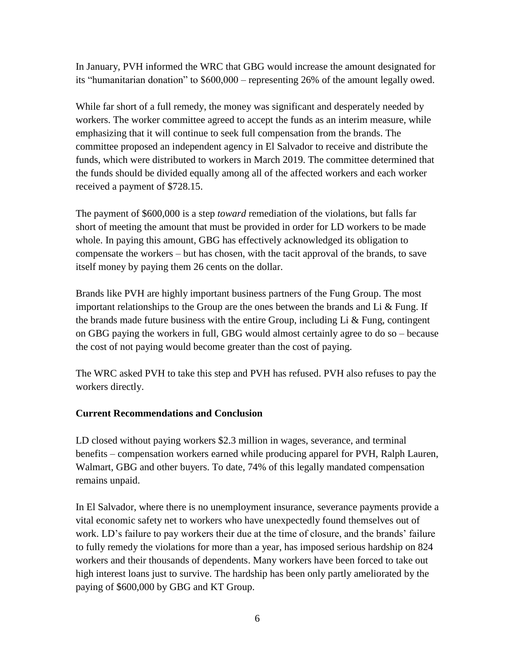In January, PVH informed the WRC that GBG would increase the amount designated for its "humanitarian donation" to \$600,000 – representing 26% of the amount legally owed.

While far short of a full remedy, the money was significant and desperately needed by workers. The worker committee agreed to accept the funds as an interim measure, while emphasizing that it will continue to seek full compensation from the brands. The committee proposed an independent agency in El Salvador to receive and distribute the funds, which were distributed to workers in March 2019. The committee determined that the funds should be divided equally among all of the affected workers and each worker received a payment of \$728.15.

The payment of \$600,000 is a step *toward* remediation of the violations, but falls far short of meeting the amount that must be provided in order for LD workers to be made whole. In paying this amount, GBG has effectively acknowledged its obligation to compensate the workers – but has chosen, with the tacit approval of the brands, to save itself money by paying them 26 cents on the dollar.

Brands like PVH are highly important business partners of the Fung Group. The most important relationships to the Group are the ones between the brands and Li  $\&$  Fung. If the brands made future business with the entire Group, including  $Li \& Fung$ , contingent on GBG paying the workers in full, GBG would almost certainly agree to do so – because the cost of not paying would become greater than the cost of paying.

The WRC asked PVH to take this step and PVH has refused. PVH also refuses to pay the workers directly.

## **Current Recommendations and Conclusion**

LD closed without paying workers \$2.3 million in wages, severance, and terminal benefits – compensation workers earned while producing apparel for PVH, Ralph Lauren, Walmart, GBG and other buyers. To date, 74% of this legally mandated compensation remains unpaid.

In El Salvador, where there is no unemployment insurance, severance payments provide a vital economic safety net to workers who have unexpectedly found themselves out of work. LD's failure to pay workers their due at the time of closure, and the brands' failure to fully remedy the violations for more than a year, has imposed serious hardship on 824 workers and their thousands of dependents. Many workers have been forced to take out high interest loans just to survive. The hardship has been only partly ameliorated by the paying of \$600,000 by GBG and KT Group.